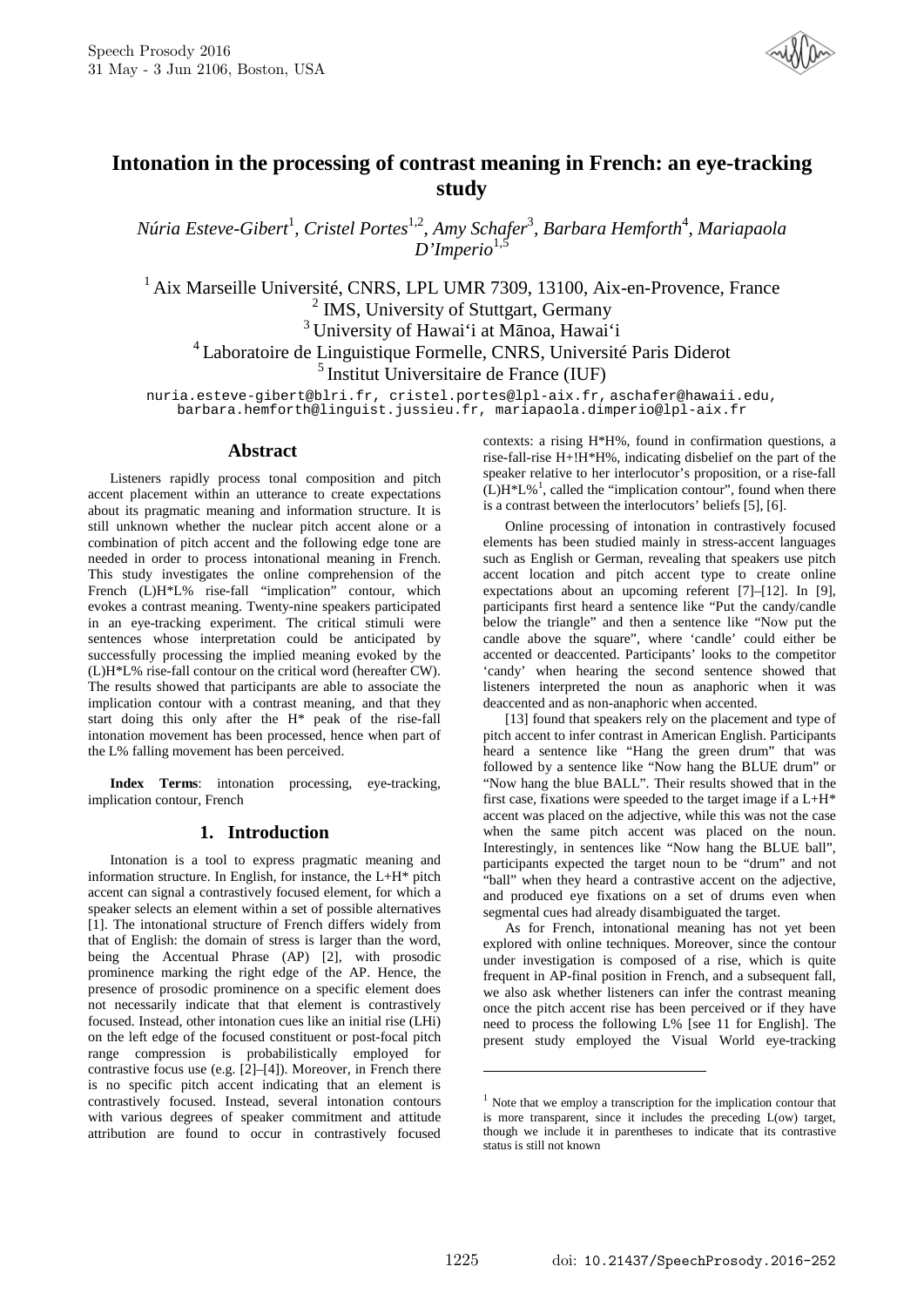

# **Intonation in the processing of contrast meaning in French: an eye-tracking study**

*Núria Esteve-Gibert*<sup>1</sup> *, Cristel Portes*1,2*, Amy Schafer*<sup>3</sup> *, Barbara Hemforth*<sup>4</sup> *, Mariapaola D'Imperio*1,5

<sup>1</sup> Aix Marseille Université, CNRS, LPL UMR 7309, 13100, Aix-en-Provence, France <sup>2</sup> IMS, University of Stuttgart, Germany <sup>3</sup>University of Hawai'i at Mānoa, Hawai'i <sup>4</sup>Laboratoire de Linguistique Formelle, CNRS, Université Paris Diderot  $<sup>5</sup>$  Institut Universitaire de France (IUF)</sup>

nuria.esteve-gibert@blri.fr, cristel.portes@lpl-aix.fr, aschafer@hawaii.edu, barbara.hemforth@linguist.jussieu.fr, mariapaola.dimperio@lpl-aix.fr

### **Abstract**

Listeners rapidly process tonal composition and pitch accent placement within an utterance to create expectations about its pragmatic meaning and information structure. It is still unknown whether the nuclear pitch accent alone or a combination of pitch accent and the following edge tone are needed in order to process intonational meaning in French. This study investigates the online comprehension of the French (L)H\*L% rise-fall "implication" contour, which evokes a contrast meaning. Twenty-nine speakers participated in an eye-tracking experiment. The critical stimuli were sentences whose interpretation could be anticipated by successfully processing the implied meaning evoked by the (L)H\*L% rise-fall contour on the critical word (hereafter CW). The results showed that participants are able to associate the implication contour with a contrast meaning, and that they start doing this only after the H\* peak of the rise-fall intonation movement has been processed, hence when part of the L% falling movement has been perceived.

**Index Terms**: intonation processing, eye-tracking, implication contour, French

### **1. Introduction**

Intonation is a tool to express pragmatic meaning and information structure. In English, for instance, the L+H\* pitch accent can signal a contrastively focused element, for which a speaker selects an element within a set of possible alternatives [1]. The intonational structure of French differs widely from that of English: the domain of stress is larger than the word, being the Accentual Phrase (AP) [2], with prosodic prominence marking the right edge of the AP. Hence, the presence of prosodic prominence on a specific element does not necessarily indicate that that element is contrastively focused. Instead, other intonation cues like an initial rise (LHi) on the left edge of the focused constituent or post-focal pitch range compression is probabilistically employed for contrastive focus use (e.g. [2]–[4]). Moreover, in French there is no specific pitch accent indicating that an element is contrastively focused. Instead, several intonation contours with various degrees of speaker commitment and attitude attribution are found to occur in contrastively focused contexts: a rising H\*H%, found in confirmation questions, a rise-fall-rise H+!H\*H%, indicating disbelief on the part of the speaker relative to her interlocutor's proposition, or a rise-fall  $(L)H^*L\%$ <sup>1</sup>, called the "implication contour", found when there is a contrast between the interlocutors' beliefs [5], [6].

Online processing of intonation in contrastively focused elements has been studied mainly in stress-accent languages such as English or German, revealing that speakers use pitch accent location and pitch accent type to create online expectations about an upcoming referent [7]–[12]. In [9], participants first heard a sentence like "Put the candy/candle below the triangle" and then a sentence like "Now put the candle above the square", where 'candle' could either be accented or deaccented. Participants' looks to the competitor 'candy' when hearing the second sentence showed that listeners interpreted the noun as anaphoric when it was deaccented and as non-anaphoric when accented.

[13] found that speakers rely on the placement and type of pitch accent to infer contrast in American English. Participants heard a sentence like "Hang the green drum" that was followed by a sentence like "Now hang the BLUE drum" or "Now hang the blue BALL". Their results showed that in the first case, fixations were speeded to the target image if a L+H\* accent was placed on the adjective, while this was not the case when the same pitch accent was placed on the noun. Interestingly, in sentences like "Now hang the BLUE ball", participants expected the target noun to be "drum" and not "ball" when they heard a contrastive accent on the adjective, and produced eye fixations on a set of drums even when segmental cues had already disambiguated the target.

As for French, intonational meaning has not yet been explored with online techniques. Moreover, since the contour under investigation is composed of a rise, which is quite frequent in AP-final position in French, and a subsequent fall, we also ask whether listeners can infer the contrast meaning once the pitch accent rise has been perceived or if they have need to process the following L% [see 11 for English]. The present study employed the Visual World eye-tracking

1

 $1$  Note that we employ a transcription for the implication contour that is more transparent, since it includes the preceding L(ow) target, though we include it in parentheses to indicate that its contrastive status is still not known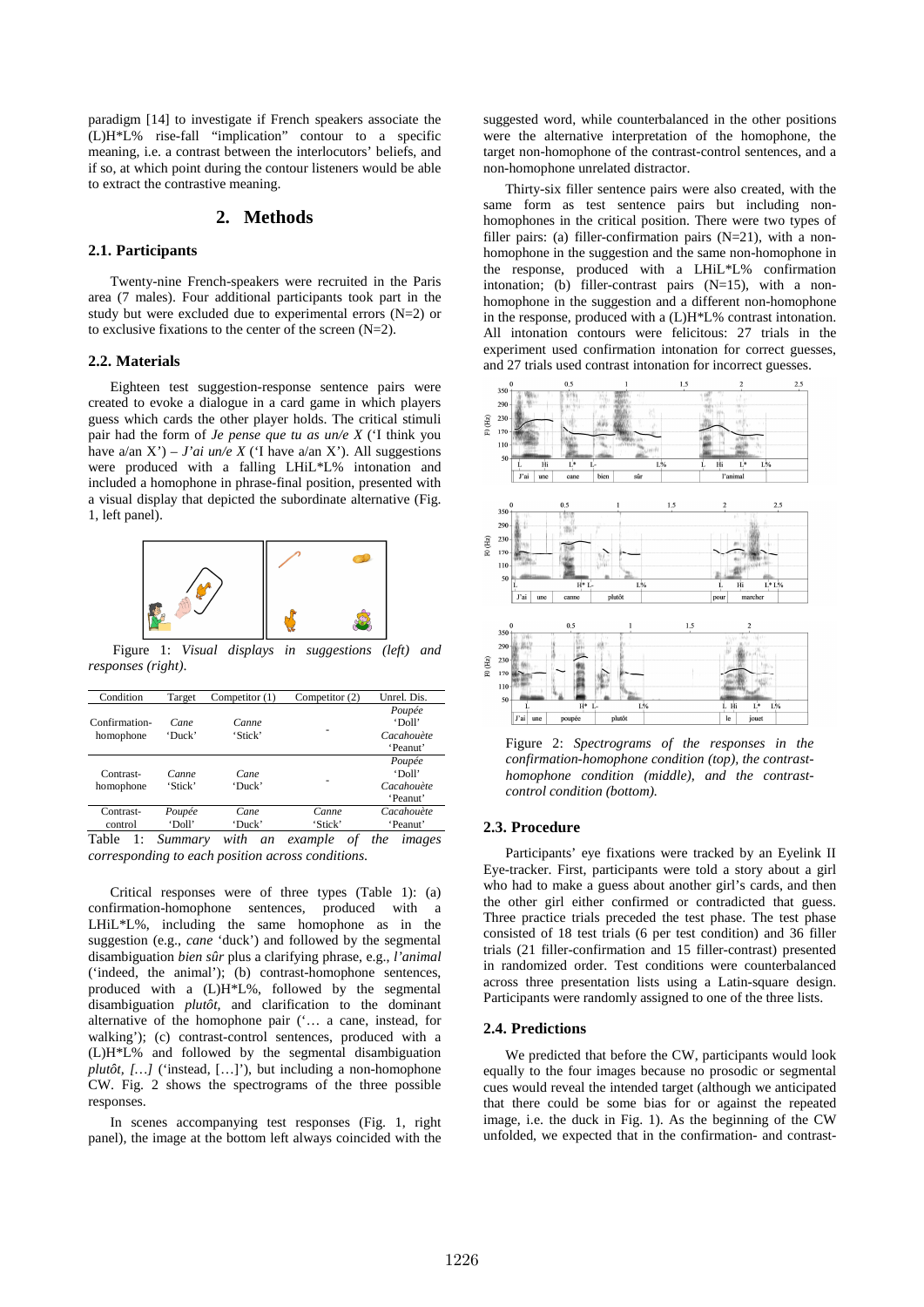paradigm [14] to investigate if French speakers associate the (L)H\*L% rise-fall "implication" contour to a specific meaning, i.e. a contrast between the interlocutors' beliefs, and if so, at which point during the contour listeners would be able to extract the contrastive meaning.

### **2. Methods**

## **2.1. Participants**

Twenty-nine French-speakers were recruited in the Paris area (7 males). Four additional participants took part in the study but were excluded due to experimental errors (N=2) or to exclusive fixations to the center of the screen (N=2).

#### **2.2. Materials**

Eighteen test suggestion-response sentence pairs were created to evoke a dialogue in a card game in which players guess which cards the other player holds. The critical stimuli pair had the form of *Je pense que tu as un/e X* ('I think you have  $a/\text{an } X'$ ) – *J'ai un/e X* ('I have  $a/\text{an } X'$ ). All suggestions were produced with a falling LHiL\*L% intonation and included a homophone in phrase-final position, presented with a visual display that depicted the subordinate alternative (Fig. 1, left panel).



 Figure 1: *Visual displays in suggestions (left) and responses (right)*.

| Condition                  | Target           | Competitor (1)    | Competitor (2)                | Unrel. Dis.                                |
|----------------------------|------------------|-------------------|-------------------------------|--------------------------------------------|
| Confirmation-<br>homophone | Cane<br>'Duck'   | Canne<br>'Stick'  |                               | Poupée<br>'Doll'<br>Cacahouète<br>'Peanut' |
| Contrast-<br>homophone     | Canne<br>'Stick' | Cane<br>'Duck'    |                               | Poupée<br>'Doll'<br>Cacahouète<br>'Peanut' |
| Contrast-                  | Poupée           | Cane              | Canne                         | Cacahouète                                 |
| control                    | 'Doll'           | 'Duck'            | 'Stick'                       | 'Peanut'                                   |
| m 11<br>$\mathbf{I}$       | $\sim$           | $\cdot$ . $\cdot$ | $\mathbf{r}$<br>$\sim$ $\sim$ |                                            |

Table 1: *Summary with an example of the images corresponding to each position across conditions*.

Critical responses were of three types (Table 1): (a) confirmation-homophone sentences, produced with a LHiL\*L%, including the same homophone as in the suggestion (e.g., *cane* 'duck') and followed by the segmental disambiguation *bien sûr* plus a clarifying phrase, e.g., *l'animal*  ('indeed, the animal'); (b) contrast-homophone sentences, produced with a (L)H\*L%, followed by the segmental disambiguation *plutôt,* and clarification to the dominant alternative of the homophone pair ('… a cane, instead, for walking'); (c) contrast-control sentences, produced with a (L)H\*L% and followed by the segmental disambiguation *plutôt, […]* ('instead, […]'), but including a non-homophone CW. Fig. 2 shows the spectrograms of the three possible responses.

In scenes accompanying test responses (Fig. 1, right panel), the image at the bottom left always coincided with the suggested word, while counterbalanced in the other positions were the alternative interpretation of the homophone, the target non-homophone of the contrast-control sentences, and a non-homophone unrelated distractor.

Thirty-six filler sentence pairs were also created, with the same form as test sentence pairs but including nonhomophones in the critical position. There were two types of filler pairs: (a) filler-confirmation pairs (N=21), with a nonhomophone in the suggestion and the same non-homophone in the response, produced with a LHiL\*L% confirmation intonation; (b) filler-contrast pairs (N=15), with a nonhomophone in the suggestion and a different non-homophone in the response, produced with a (L)H\*L% contrast intonation. All intonation contours were felicitous: 27 trials in the experiment used confirmation intonation for correct guesses, and 27 trials used contrast intonation for incorrect guesses.



Figure 2: *Spectrograms of the responses in the confirmation-homophone condition (top), the contrasthomophone condition (middle), and the contrastcontrol condition (bottom).*

#### **2.3. Procedure**

Participants' eye fixations were tracked by an Eyelink II Eye-tracker. First, participants were told a story about a girl who had to make a guess about another girl's cards, and then the other girl either confirmed or contradicted that guess. Three practice trials preceded the test phase. The test phase consisted of 18 test trials (6 per test condition) and 36 filler trials (21 filler-confirmation and 15 filler-contrast) presented in randomized order. Test conditions were counterbalanced across three presentation lists using a Latin-square design. Participants were randomly assigned to one of the three lists.

#### **2.4. Predictions**

We predicted that before the CW, participants would look equally to the four images because no prosodic or segmental cues would reveal the intended target (although we anticipated that there could be some bias for or against the repeated image, i.e. the duck in Fig. 1). As the beginning of the CW unfolded, we expected that in the confirmation- and contrast-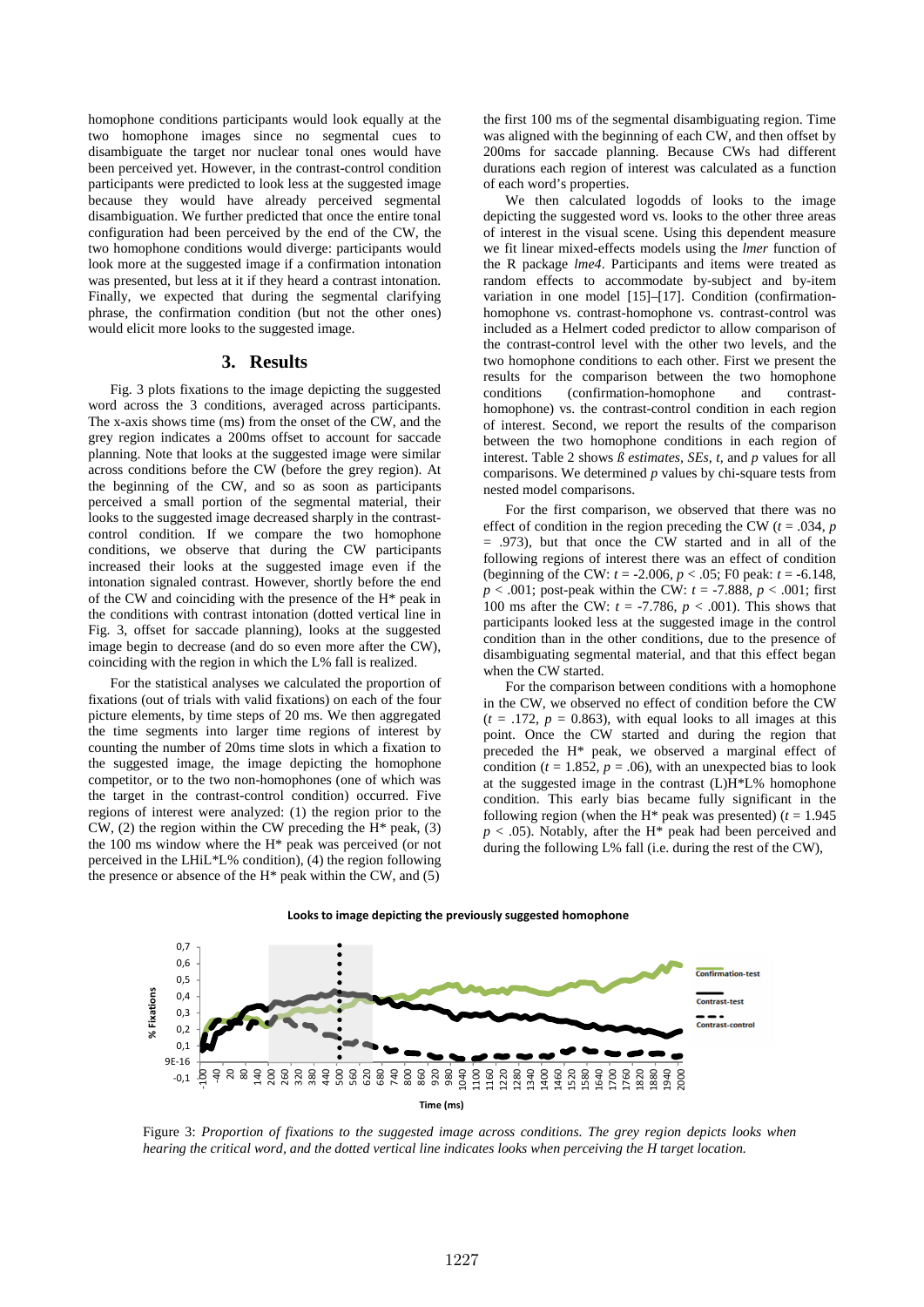homophone conditions participants would look equally at the two homophone images since no segmental cues to disambiguate the target nor nuclear tonal ones would have been perceived yet. However, in the contrast-control condition participants were predicted to look less at the suggested image because they would have already perceived segmental disambiguation. We further predicted that once the entire tonal configuration had been perceived by the end of the CW, the two homophone conditions would diverge: participants would look more at the suggested image if a confirmation intonation was presented, but less at it if they heard a contrast intonation. Finally, we expected that during the segmental clarifying phrase, the confirmation condition (but not the other ones) would elicit more looks to the suggested image.

### **3. Results**

Fig. 3 plots fixations to the image depicting the suggested word across the 3 conditions, averaged across participants. The x-axis shows time (ms) from the onset of the CW, and the grey region indicates a 200ms offset to account for saccade planning. Note that looks at the suggested image were similar across conditions before the CW (before the grey region). At the beginning of the CW, and so as soon as participants perceived a small portion of the segmental material, their looks to the suggested image decreased sharply in the contrastcontrol condition. If we compare the two homophone conditions, we observe that during the CW participants increased their looks at the suggested image even if the intonation signaled contrast. However, shortly before the end of the CW and coinciding with the presence of the H\* peak in the conditions with contrast intonation (dotted vertical line in Fig. 3, offset for saccade planning), looks at the suggested image begin to decrease (and do so even more after the CW), coinciding with the region in which the L% fall is realized.

For the statistical analyses we calculated the proportion of fixations (out of trials with valid fixations) on each of the four picture elements, by time steps of 20 ms. We then aggregated the time segments into larger time regions of interest by counting the number of 20ms time slots in which a fixation to the suggested image, the image depicting the homophone competitor, or to the two non-homophones (one of which was the target in the contrast-control condition) occurred. Five regions of interest were analyzed: (1) the region prior to the CW,  $(2)$  the region within the CW preceding the H<sup>\*</sup> peak,  $(3)$ the 100 ms window where the H\* peak was perceived (or not perceived in the LHiL\*L% condition), (4) the region following the presence or absence of the  $H^*$  peak within the CW, and  $(5)$ 

the first 100 ms of the segmental disambiguating region. Time was aligned with the beginning of each CW, and then offset by 200ms for saccade planning. Because CWs had different durations each region of interest was calculated as a function of each word's properties.

We then calculated logodds of looks to the image depicting the suggested word vs. looks to the other three areas of interest in the visual scene. Using this dependent measure we fit linear mixed-effects models using the *lmer* function of the R package *lme4*. Participants and items were treated as random effects to accommodate by-subject and by-item variation in one model [15]–[17]. Condition (confirmationhomophone vs. contrast-homophone vs. contrast-control was included as a Helmert coded predictor to allow comparison of the contrast-control level with the other two levels, and the two homophone conditions to each other. First we present the results for the comparison between the two homophone conditions (confirmation-homophone and contrasthomophone) vs. the contrast-control condition in each region of interest. Second, we report the results of the comparison between the two homophone conditions in each region of interest. Table 2 shows *ß estimates, SEs, t,* and *p* values for all comparisons. We determined *p* values by chi-square tests from nested model comparisons.

For the first comparison, we observed that there was no effect of condition in the region preceding the CW ( $t = .034$ ,  $p$ ) = .973), but that once the CW started and in all of the following regions of interest there was an effect of condition (beginning of the CW: *t* = -2.006, *p* < .05; F0 peak: *t* = -6.148,  $p < .001$ ; post-peak within the CW:  $t = -7.888$ ,  $p < .001$ ; first 100 ms after the CW:  $t = -7.786$ ,  $p < .001$ ). This shows that participants looked less at the suggested image in the control condition than in the other conditions, due to the presence of disambiguating segmental material, and that this effect began when the CW started.

For the comparison between conditions with a homophone in the CW, we observed no effect of condition before the CW  $(t = .172, p = 0.863)$ , with equal looks to all images at this point. Once the CW started and during the region that preceded the H\* peak, we observed a marginal effect of condition ( $t = 1.852$ ,  $p = .06$ ), with an unexpected bias to look at the suggested image in the contrast (L)H\*L% homophone condition. This early bias became fully significant in the following region (when the H<sup>\*</sup> peak was presented)  $(t = 1.945$  $p < .05$ ). Notably, after the H<sup>\*</sup> peak had been perceived and during the following L% fall (i.e. during the rest of the CW),





Figure 3: *Proportion of fixations to the suggested image across conditions. The grey region depicts looks when hearing the critical word, and the dotted vertical line indicates looks when perceiving the H target location.*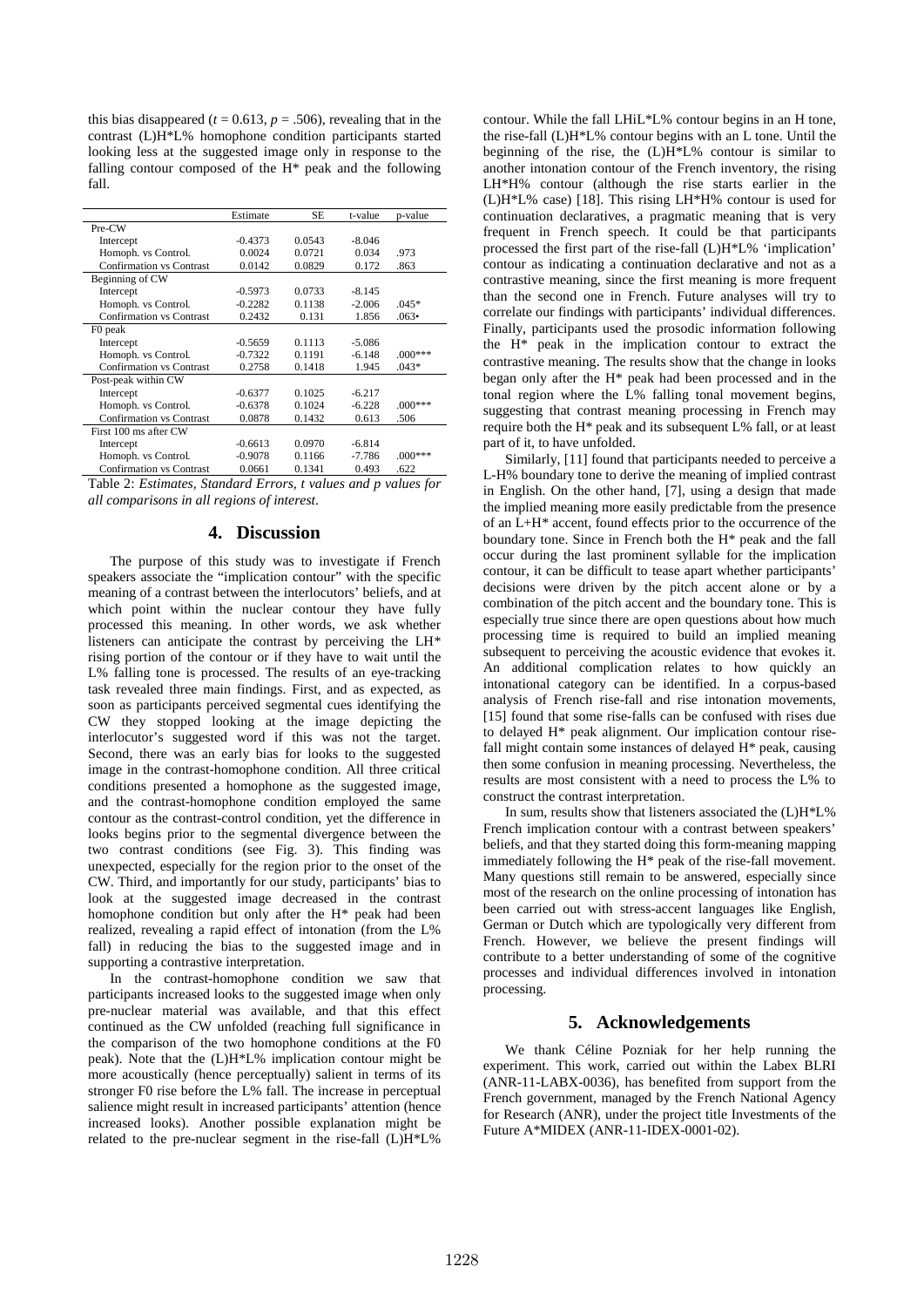this bias disappeared ( $t = 0.613$ ,  $p = .506$ ), revealing that in the contrast (L)H\*L% homophone condition participants started looking less at the suggested image only in response to the falling contour composed of the H\* peak and the following fall.

|                                 | Estimate  | SE     | t-value  | p-value       |
|---------------------------------|-----------|--------|----------|---------------|
| Pre-CW                          |           |        |          |               |
| Intercept                       | $-0.4373$ | 0.0543 | $-8.046$ |               |
| Homoph. vs Control.             | 0.0024    | 0.0721 | 0.034    | .973          |
| <b>Confirmation vs Contrast</b> | 0.0142    | 0.0829 | 0.172    | .863          |
| Beginning of CW                 |           |        |          |               |
| Intercept                       | $-0.5973$ | 0.0733 | $-8.145$ |               |
| Homoph. vs Control.             | $-0.2282$ | 0.1138 | $-2.006$ | $.045*$       |
| <b>Confirmation vs Contrast</b> | 0.2432    | 0.131  | 1.856    | $.063\bullet$ |
| F0 peak                         |           |        |          |               |
| Intercept                       | $-0.5659$ | 0.1113 | $-5.086$ |               |
| Homoph. vs Control.             | $-0.7322$ | 0.1191 | $-6.148$ | $.000***$     |
| <b>Confirmation vs Contrast</b> | 0.2758    | 0.1418 | 1.945    | $.043*$       |
| Post-peak within CW             |           |        |          |               |
| Intercept                       | $-0.6377$ | 0.1025 | $-6.217$ |               |
| Homoph. vs Control.             | $-0.6378$ | 0.1024 | $-6.228$ | $.000***$     |
| <b>Confirmation vs Contrast</b> | 0.0878    | 0.1432 | 0.613    | .506          |
| First 100 ms after CW           |           |        |          |               |
| Intercept                       | $-0.6613$ | 0.0970 | $-6.814$ |               |
| Homoph. vs Control.             | $-0.9078$ | 0.1166 | $-7.786$ | $.000***$     |
| <b>Confirmation vs Contrast</b> | 0.0661    | 0.1341 | 0.493    | .622          |

Table 2: *Estimates, Standard Errors, t values and p values for all comparisons in all regions of interest*.

# **4. Discussion**

The purpose of this study was to investigate if French speakers associate the "implication contour" with the specific meaning of a contrast between the interlocutors' beliefs, and at which point within the nuclear contour they have fully processed this meaning. In other words, we ask whether listeners can anticipate the contrast by perceiving the LH\* rising portion of the contour or if they have to wait until the L% falling tone is processed. The results of an eye-tracking task revealed three main findings. First, and as expected, as soon as participants perceived segmental cues identifying the CW they stopped looking at the image depicting the interlocutor's suggested word if this was not the target. Second, there was an early bias for looks to the suggested image in the contrast-homophone condition. All three critical conditions presented a homophone as the suggested image, and the contrast-homophone condition employed the same contour as the contrast-control condition, yet the difference in looks begins prior to the segmental divergence between the two contrast conditions (see Fig. 3). This finding was unexpected, especially for the region prior to the onset of the CW. Third, and importantly for our study, participants' bias to look at the suggested image decreased in the contrast homophone condition but only after the H\* peak had been realized, revealing a rapid effect of intonation (from the L% fall) in reducing the bias to the suggested image and in supporting a contrastive interpretation.

In the contrast-homophone condition we saw that participants increased looks to the suggested image when only pre-nuclear material was available, and that this effect continued as the CW unfolded (reaching full significance in the comparison of the two homophone conditions at the F0 peak). Note that the (L)H\*L% implication contour might be more acoustically (hence perceptually) salient in terms of its stronger F0 rise before the L% fall. The increase in perceptual salience might result in increased participants' attention (hence increased looks). Another possible explanation might be related to the pre-nuclear segment in the rise-fall (L)H\*L%

contour. While the fall LHiL\*L% contour begins in an H tone, the rise-fall (L)H\*L% contour begins with an L tone. Until the beginning of the rise, the (L)H\*L% contour is similar to another intonation contour of the French inventory, the rising LH\*H% contour (although the rise starts earlier in the (L)H\*L% case) [18]. This rising LH\*H% contour is used for continuation declaratives, a pragmatic meaning that is very frequent in French speech. It could be that participants processed the first part of the rise-fall (L)H\*L% 'implication' contour as indicating a continuation declarative and not as a contrastive meaning, since the first meaning is more frequent than the second one in French. Future analyses will try to correlate our findings with participants' individual differences. Finally, participants used the prosodic information following the H\* peak in the implication contour to extract the contrastive meaning. The results show that the change in looks began only after the H\* peak had been processed and in the tonal region where the L% falling tonal movement begins, suggesting that contrast meaning processing in French may require both the H\* peak and its subsequent L% fall, or at least part of it, to have unfolded.

Similarly, [11] found that participants needed to perceive a L-H% boundary tone to derive the meaning of implied contrast in English. On the other hand, [7], using a design that made the implied meaning more easily predictable from the presence of an L+H\* accent, found effects prior to the occurrence of the boundary tone. Since in French both the H\* peak and the fall occur during the last prominent syllable for the implication contour, it can be difficult to tease apart whether participants' decisions were driven by the pitch accent alone or by a combination of the pitch accent and the boundary tone. This is especially true since there are open questions about how much processing time is required to build an implied meaning subsequent to perceiving the acoustic evidence that evokes it. An additional complication relates to how quickly an intonational category can be identified. In a corpus-based analysis of French rise-fall and rise intonation movements, [15] found that some rise-falls can be confused with rises due to delayed H\* peak alignment. Our implication contour risefall might contain some instances of delayed H\* peak, causing then some confusion in meaning processing. Nevertheless, the results are most consistent with a need to process the L% to construct the contrast interpretation.

In sum, results show that listeners associated the (L)H\*L% French implication contour with a contrast between speakers' beliefs, and that they started doing this form-meaning mapping immediately following the H\* peak of the rise-fall movement. Many questions still remain to be answered, especially since most of the research on the online processing of intonation has been carried out with stress-accent languages like English, German or Dutch which are typologically very different from French. However, we believe the present findings will contribute to a better understanding of some of the cognitive processes and individual differences involved in intonation processing.

# **5. Acknowledgements**

We thank Céline Pozniak for her help running the experiment. This work, carried out within the Labex BLRI (ANR-11-LABX-0036), has benefited from support from the French government, managed by the French National Agency for Research (ANR), under the project title Investments of the Future A\*MIDEX (ANR-11-IDEX-0001-02).